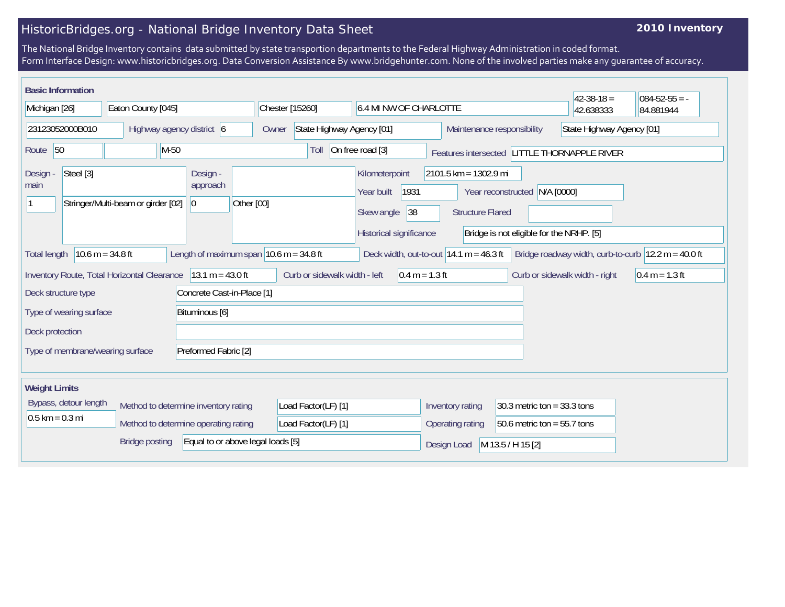## HistoricBridges.org - National Bridge Inventory Data Sheet

## **2010 Inventory**

The National Bridge Inventory contains data submitted by state transportion departments to the Federal Highway Administration in coded format. Form Interface Design: www.historicbridges.org. Data Conversion Assistance By www.bridgehunter.com. None of the involved parties make any guarantee of accuracy.

| <b>Basic Information</b>                                                                                                                                                                                                         |                    |                                                                                                   |                                    |                                                                                                                                  |                            |                                              | $42 - 38 - 18 =$          | $084 - 52 - 55 = -$ |
|----------------------------------------------------------------------------------------------------------------------------------------------------------------------------------------------------------------------------------|--------------------|---------------------------------------------------------------------------------------------------|------------------------------------|----------------------------------------------------------------------------------------------------------------------------------|----------------------------|----------------------------------------------|---------------------------|---------------------|
| Michigan [26]                                                                                                                                                                                                                    | Eaton County [045] |                                                                                                   | Chester [15260]                    | 6.4 MI NW OF CHARLOTTE                                                                                                           |                            |                                              | 42.638333                 | 84.881944           |
| 23123052000B010                                                                                                                                                                                                                  |                    | Highway agency district 6                                                                         | State Highway Agency [01]<br>Owner |                                                                                                                                  | Maintenance responsibility |                                              | State Highway Agency [01] |                     |
| $M-50$<br>Route 50                                                                                                                                                                                                               |                    |                                                                                                   | Toll                               | On free road [3]                                                                                                                 |                            | Features intersected LITTLE THORNAPPLE RIVER |                           |                     |
| Steel [3]<br>Design -<br>Design -<br>approach<br>main<br>Stringer/Multi-beam or girder [02]<br> 0                                                                                                                                |                    | Kilometerpoint<br>1931<br>Year built<br>Other [00]<br>38<br>Skew angle<br>Historical significance |                                    | 2101.5 km = 1302.9 mi<br>N/A [0000]<br>Year reconstructed<br><b>Structure Flared</b><br>Bridge is not eligible for the NRHP. [5] |                            |                                              |                           |                     |
| Length of maximum span $ 10.6 \text{ m} = 34.8 \text{ ft} $<br>$10.6 m = 34.8 ft$<br>Bridge roadway width, curb-to-curb $ 12.2 \text{ m} = 40.0 \text{ ft} $<br>Deck width, out-to-out $14.1 m = 46.3 ft$<br><b>Total length</b> |                    |                                                                                                   |                                    |                                                                                                                                  |                            |                                              |                           |                     |
| $13.1 m = 43.0 ft$<br>Curb or sidewalk width - left<br>Inventory Route, Total Horizontal Clearance<br>$0.4 m = 1.3 ft$<br>Curb or sidewalk width - right                                                                         |                    |                                                                                                   |                                    |                                                                                                                                  | $0.4 m = 1.3 ft$           |                                              |                           |                     |
| Concrete Cast-in-Place [1]<br>Deck structure type                                                                                                                                                                                |                    |                                                                                                   |                                    |                                                                                                                                  |                            |                                              |                           |                     |
| Bituminous [6]<br>Type of wearing surface                                                                                                                                                                                        |                    |                                                                                                   |                                    |                                                                                                                                  |                            |                                              |                           |                     |
| Deck protection                                                                                                                                                                                                                  |                    |                                                                                                   |                                    |                                                                                                                                  |                            |                                              |                           |                     |
| Preformed Fabric [2]<br>Type of membrane/wearing surface                                                                                                                                                                         |                    |                                                                                                   |                                    |                                                                                                                                  |                            |                                              |                           |                     |
| <b>Weight Limits</b>                                                                                                                                                                                                             |                    |                                                                                                   |                                    |                                                                                                                                  |                            |                                              |                           |                     |
| Bypass, detour length                                                                                                                                                                                                            |                    | Method to determine inventory rating                                                              | Load Factor(LF) [1]                |                                                                                                                                  | Inventory rating           | 30.3 metric ton = $33.3$ tons                |                           |                     |
| $0.5$ km = 0.3 mi                                                                                                                                                                                                                |                    | Method to determine operating rating                                                              | Load Factor(LF) [1]                |                                                                                                                                  | Operating rating           | 50.6 metric ton = $55.7$ tons                |                           |                     |
| Equal to or above legal loads [5]<br><b>Bridge posting</b>                                                                                                                                                                       |                    |                                                                                                   |                                    | Design Load<br>M 13.5 / H 15 [2]                                                                                                 |                            |                                              |                           |                     |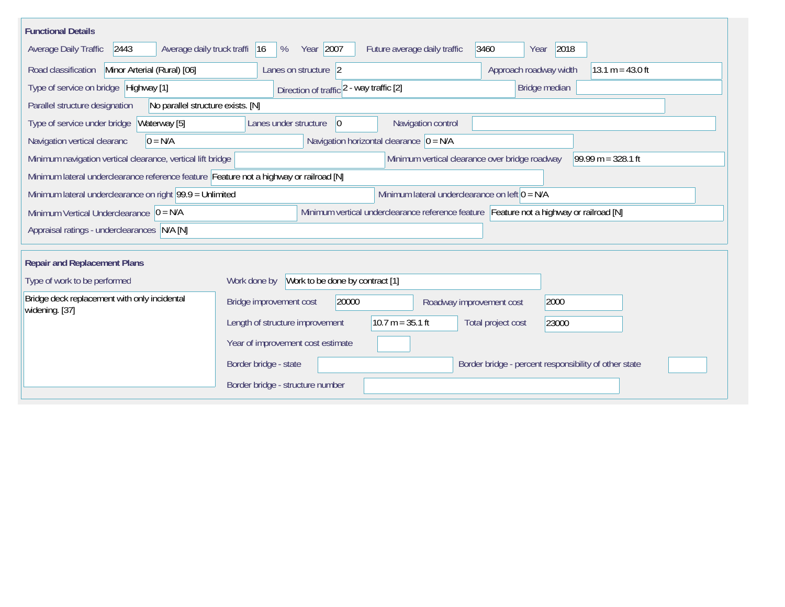| <b>Functional Details</b>                                                              |                                                                                                              |                                                |                                                       |                      |  |  |  |  |
|----------------------------------------------------------------------------------------|--------------------------------------------------------------------------------------------------------------|------------------------------------------------|-------------------------------------------------------|----------------------|--|--|--|--|
| 2443<br>Average daily truck traffi<br>Average Daily Traffic                            | Year 2007<br> 16<br>%                                                                                        | Future average daily traffic                   | 3460<br>2018<br>Year                                  |                      |  |  |  |  |
| Road classification<br>Minor Arterial (Rural) [06]                                     | Lanes on structure 2                                                                                         |                                                | Approach roadway width                                | $13.1 m = 43.0 ft$   |  |  |  |  |
| Type of service on bridge Highway [1]                                                  | Direction of traffic 2 - way traffic [2]                                                                     |                                                | Bridge median                                         |                      |  |  |  |  |
| No parallel structure exists. [N]<br>Parallel structure designation                    |                                                                                                              |                                                |                                                       |                      |  |  |  |  |
| Waterway [5]<br>Type of service under bridge                                           | Lanes under structure<br>$ 0\rangle$                                                                         | Navigation control                             |                                                       |                      |  |  |  |  |
| $0 = N/A$<br>Navigation vertical clearanc                                              | Navigation horizontal clearance $ 0 = N/A$                                                                   |                                                |                                                       |                      |  |  |  |  |
| Minimum navigation vertical clearance, vertical lift bridge                            |                                                                                                              | Minimum vertical clearance over bridge roadway |                                                       | 99.99 m = $328.1$ ft |  |  |  |  |
| Minimum lateral underclearance reference feature Feature not a highway or railroad [N] |                                                                                                              |                                                |                                                       |                      |  |  |  |  |
|                                                                                        | Minimum lateral underclearance on left $0 = N/A$<br>Minimum lateral underclearance on right 99.9 = Unlimited |                                                |                                                       |                      |  |  |  |  |
| Minimum Vertical Underclearance $ 0 = N/A$                                             | Minimum vertical underclearance reference feature Feature not a highway or railroad [N]                      |                                                |                                                       |                      |  |  |  |  |
| Appraisal ratings - underclearances N/A [N]                                            |                                                                                                              |                                                |                                                       |                      |  |  |  |  |
|                                                                                        |                                                                                                              |                                                |                                                       |                      |  |  |  |  |
| <b>Repair and Replacement Plans</b>                                                    |                                                                                                              |                                                |                                                       |                      |  |  |  |  |
| Type of work to be performed                                                           | Work to be done by contract [1]<br>Work done by                                                              |                                                |                                                       |                      |  |  |  |  |
| Bridge deck replacement with only incidental<br>widening. [37]                         | 20000<br>Bridge improvement cost                                                                             | Roadway improvement cost                       | 2000                                                  |                      |  |  |  |  |
|                                                                                        | Length of structure improvement                                                                              | $10.7 m = 35.1 ft$                             | Total project cost<br>23000                           |                      |  |  |  |  |
|                                                                                        | Year of improvement cost estimate                                                                            |                                                |                                                       |                      |  |  |  |  |
|                                                                                        | Border bridge - state                                                                                        |                                                | Border bridge - percent responsibility of other state |                      |  |  |  |  |
|                                                                                        | Border bridge - structure number                                                                             |                                                |                                                       |                      |  |  |  |  |